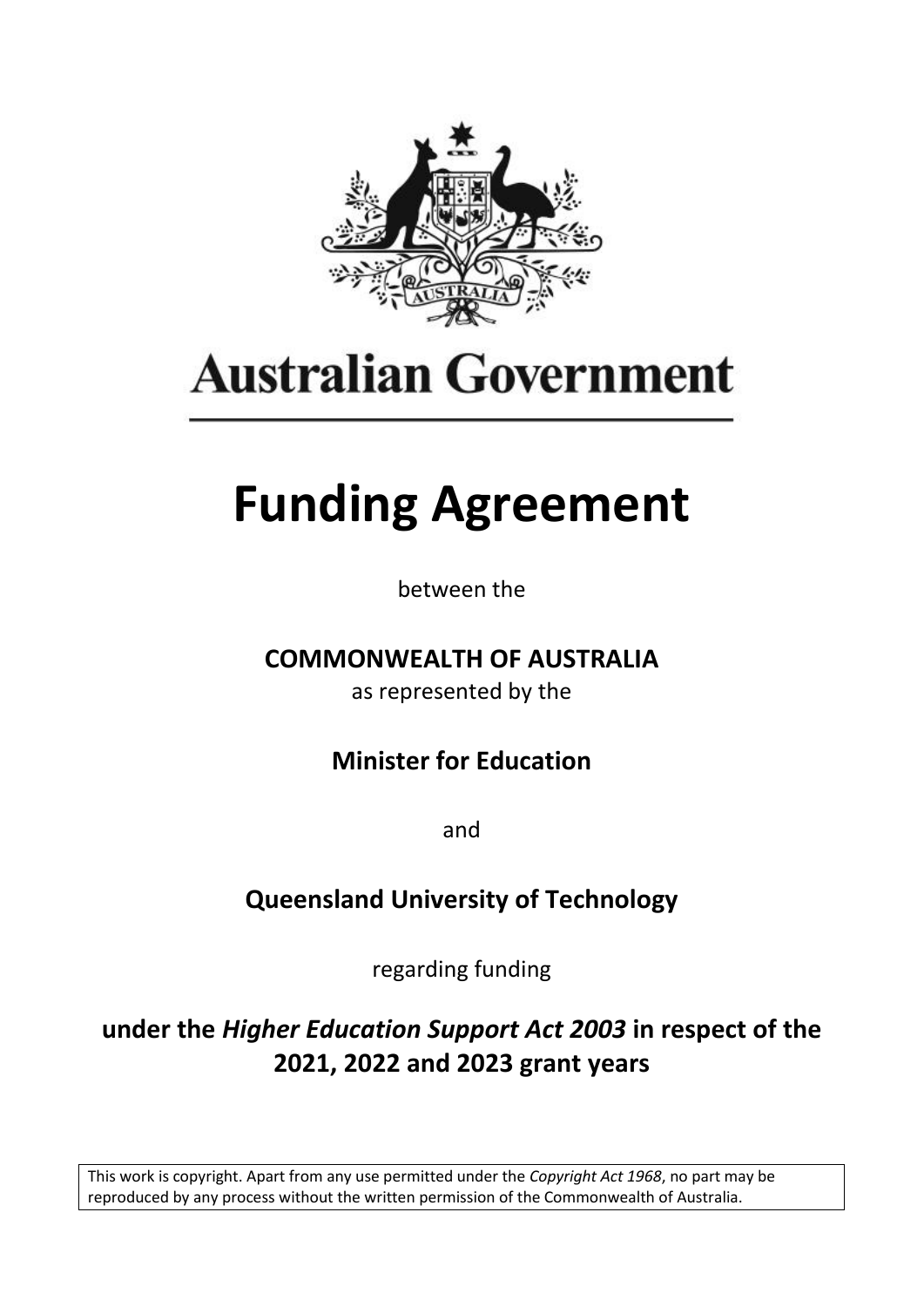

# **Australian Government**

# **Funding Agreement**

between the

# **COMMONWEALTH OF AUSTRALIA**

as represented by the

**Minister for Education** 

and

# **Queensland University of Technology**

regarding funding

**under the** *Higher Education Support Act 2003* **in respect of the 2021, 2022 and 2023 grant years**

This work is copyright. Apart from any use permitted under the *Copyright Act 1968*, no part may be reproduced by any process without the written permission of the Commonwealth of Australia.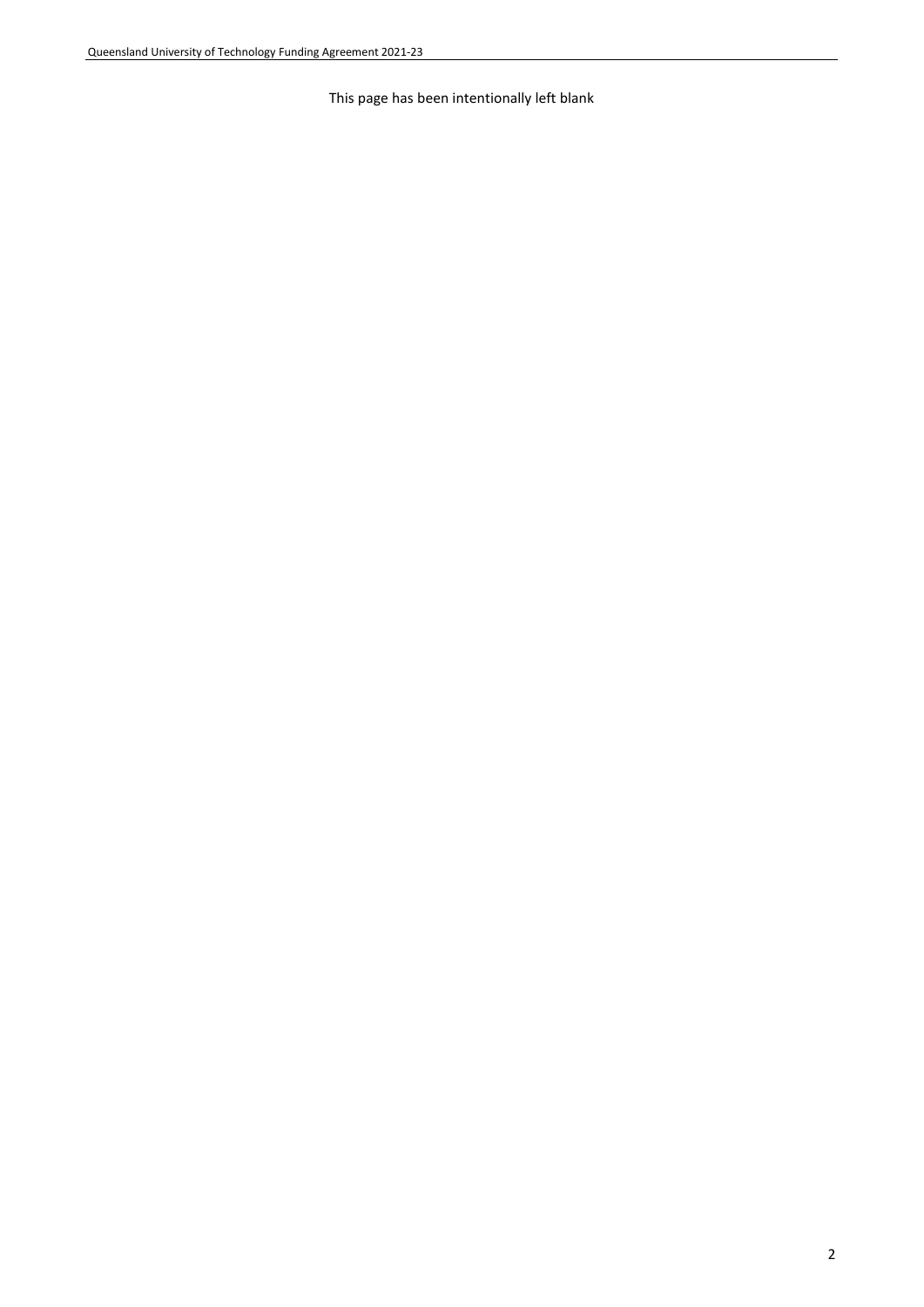This page has been intentionally left blank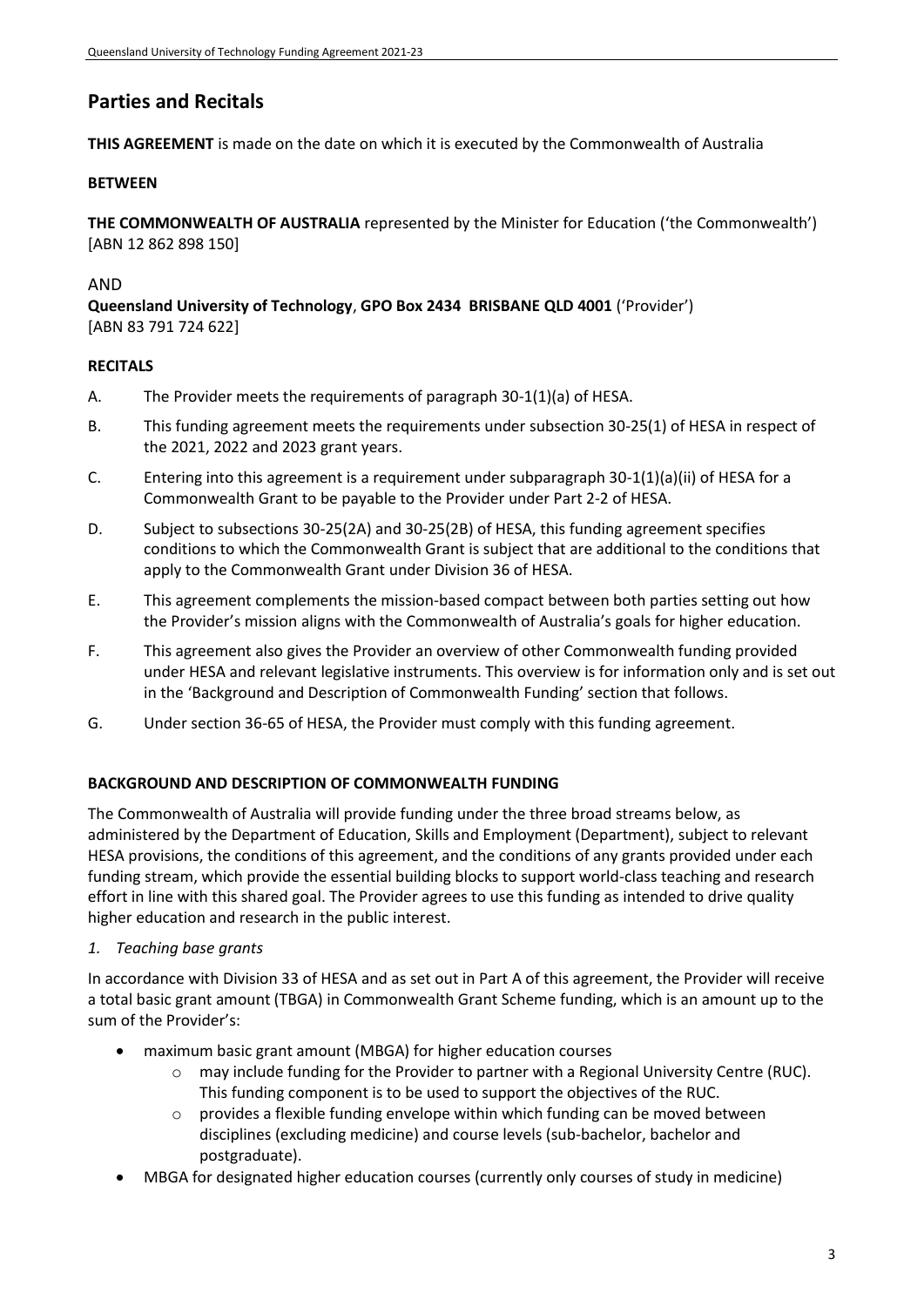# **Parties and Recitals**

**THIS AGREEMENT** is made on the date on which it is executed by the Commonwealth of Australia

### **BETWEEN**

**THE COMMONWEALTH OF AUSTRALIA** represented by the Minister for Education ('the Commonwealth') [ABN 12 862 898 150]

## AND

**Queensland University of Technology**, **GPO Box 2434 BRISBANE QLD 4001** ('Provider') [ABN 83 791 724 622]

### **RECITALS**

- A. The Provider meets the requirements of paragraph 30-1(1)(a) of HESA.
- B. This funding agreement meets the requirements under subsection 30-25(1) of HESA in respect of the 2021, 2022 and 2023 grant years.
- C. Entering into this agreement is a requirement under subparagraph 30-1(1)(a)(ii) of HESA for a Commonwealth Grant to be payable to the Provider under Part 2-2 of HESA.
- D. Subject to subsections 30-25(2A) and 30-25(2B) of HESA, this funding agreement specifies conditions to which the Commonwealth Grant is subject that are additional to the conditions that apply to the Commonwealth Grant under Division 36 of HESA.
- E. This agreement complements the mission-based compact between both parties setting out how the Provider's mission aligns with the Commonwealth of Australia's goals for higher education.
- F. This agreement also gives the Provider an overview of other Commonwealth funding provided under HESA and relevant legislative instruments. This overview is for information only and is set out in the 'Background and Description of Commonwealth Funding' section that follows.
- G. Under section 36-65 of HESA, the Provider must comply with this funding agreement.

## **BACKGROUND AND DESCRIPTION OF COMMONWEALTH FUNDING**

The Commonwealth of Australia will provide funding under the three broad streams below, as administered by the Department of Education, Skills and Employment (Department), subject to relevant HESA provisions, the conditions of this agreement, and the conditions of any grants provided under each funding stream, which provide the essential building blocks to support world-class teaching and research effort in line with this shared goal. The Provider agrees to use this funding as intended to drive quality higher education and research in the public interest.

#### *1. Teaching base grants*

In accordance with Division 33 of HESA and as set out in Part A of this agreement, the Provider will receive a total basic grant amount (TBGA) in Commonwealth Grant Scheme funding, which is an amount up to the sum of the Provider's:

- maximum basic grant amount (MBGA) for higher education courses
	- o may include funding for the Provider to partner with a Regional University Centre (RUC). This funding component is to be used to support the objectives of the RUC.
	- $\circ$  provides a flexible funding envelope within which funding can be moved between disciplines (excluding medicine) and course levels (sub-bachelor, bachelor and postgraduate).
- MBGA for designated higher education courses (currently only courses of study in medicine)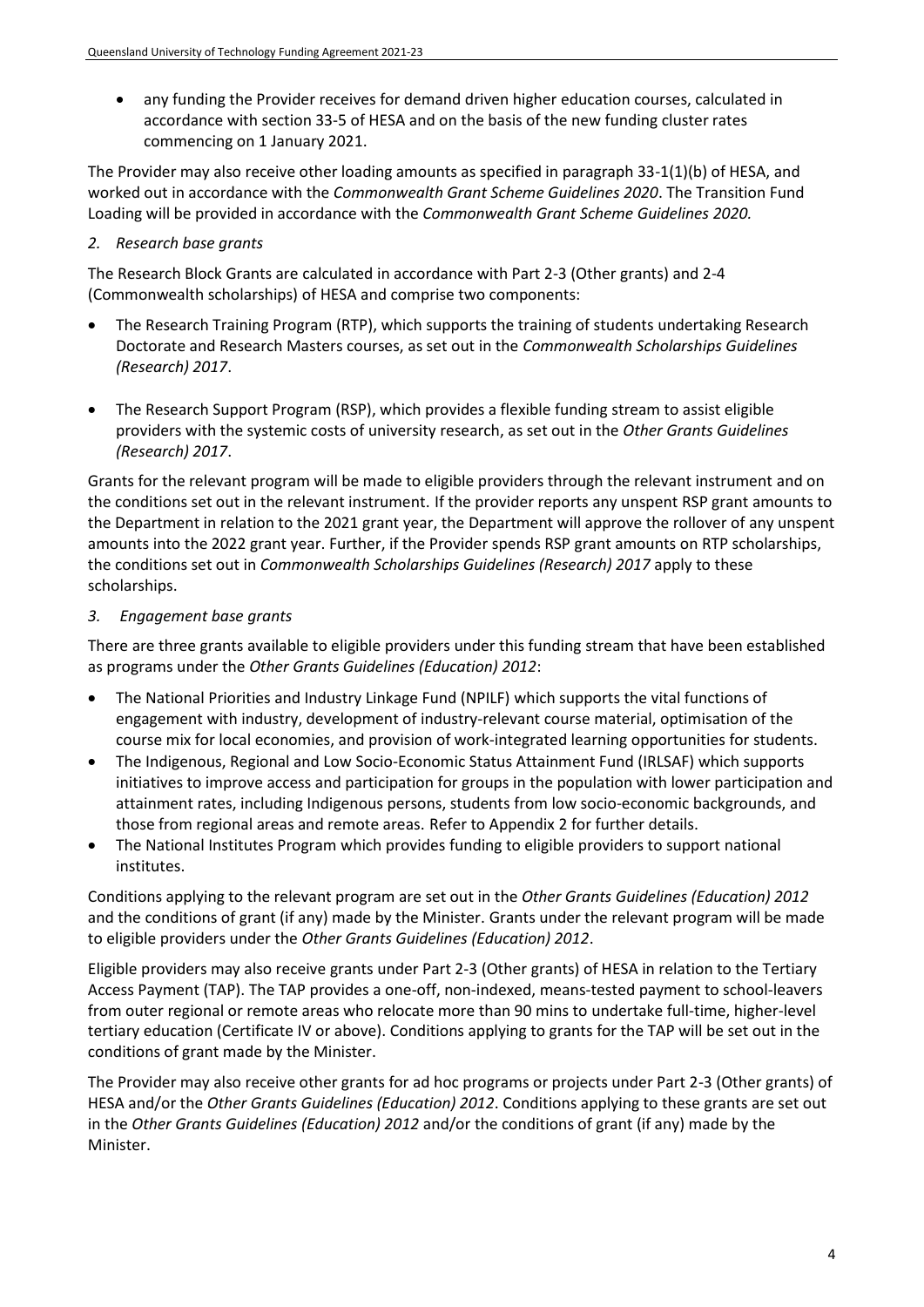• any funding the Provider receives for demand driven higher education courses, calculated in accordance with section 33-5 of HESA and on the basis of the new funding cluster rates commencing on 1 January 2021.

The Provider may also receive other loading amounts as specified in paragraph 33-1(1)(b) of HESA, and worked out in accordance with the *Commonwealth Grant Scheme Guidelines 2020*. The Transition Fund Loading will be provided in accordance with the *Commonwealth Grant Scheme Guidelines 2020.*

*2. Research base grants*

The Research Block Grants are calculated in accordance with Part 2-3 (Other grants) and 2-4 (Commonwealth scholarships) of HESA and comprise two components:

- The Research Training Program (RTP), which supports the training of students undertaking Research Doctorate and Research Masters courses, as set out in the *Commonwealth Scholarships Guidelines (Research) 2017*.
- The Research Support Program (RSP), which provides a flexible funding stream to assist eligible providers with the systemic costs of university research, as set out in the *Other Grants Guidelines (Research) 2017*.

Grants for the relevant program will be made to eligible providers through the relevant instrument and on the conditions set out in the relevant instrument. If the provider reports any unspent RSP grant amounts to the Department in relation to the 2021 grant year, the Department will approve the rollover of any unspent amounts into the 2022 grant year. Further, if the Provider spends RSP grant amounts on RTP scholarships, the conditions set out in *Commonwealth Scholarships Guidelines (Research) 2017* apply to these scholarships.

#### *3. Engagement base grants*

There are three grants available to eligible providers under this funding stream that have been established as programs under the *Other Grants Guidelines (Education) 2012*:

- The National Priorities and Industry Linkage Fund (NPILF) which supports the vital functions of engagement with industry, development of industry-relevant course material, optimisation of the course mix for local economies, and provision of work-integrated learning opportunities for students.
- The Indigenous, Regional and Low Socio-Economic Status Attainment Fund (IRLSAF) which supports initiatives to improve access and participation for groups in the population with lower participation and attainment rates, including Indigenous persons, students from low socio-economic backgrounds, and those from regional areas and remote areas. Refer to Appendix 2 for further details.
- The National Institutes Program which provides funding to eligible providers to support national institutes.

Conditions applying to the relevant program are set out in the *Other Grants Guidelines (Education) 2012* and the conditions of grant (if any) made by the Minister. Grants under the relevant program will be made to eligible providers under the *Other Grants Guidelines (Education) 2012*.

Eligible providers may also receive grants under Part 2-3 (Other grants) of HESA in relation to the Tertiary Access Payment (TAP). The TAP provides a one-off, non-indexed, means-tested payment to school-leavers from outer regional or remote areas who relocate more than 90 mins to undertake full-time, higher-level tertiary education (Certificate IV or above). Conditions applying to grants for the TAP will be set out in the conditions of grant made by the Minister.

The Provider may also receive other grants for ad hoc programs or projects under Part 2-3 (Other grants) of HESA and/or the *Other Grants Guidelines (Education) 2012*. Conditions applying to these grants are set out in the *Other Grants Guidelines (Education) 2012* and/or the conditions of grant (if any) made by the Minister.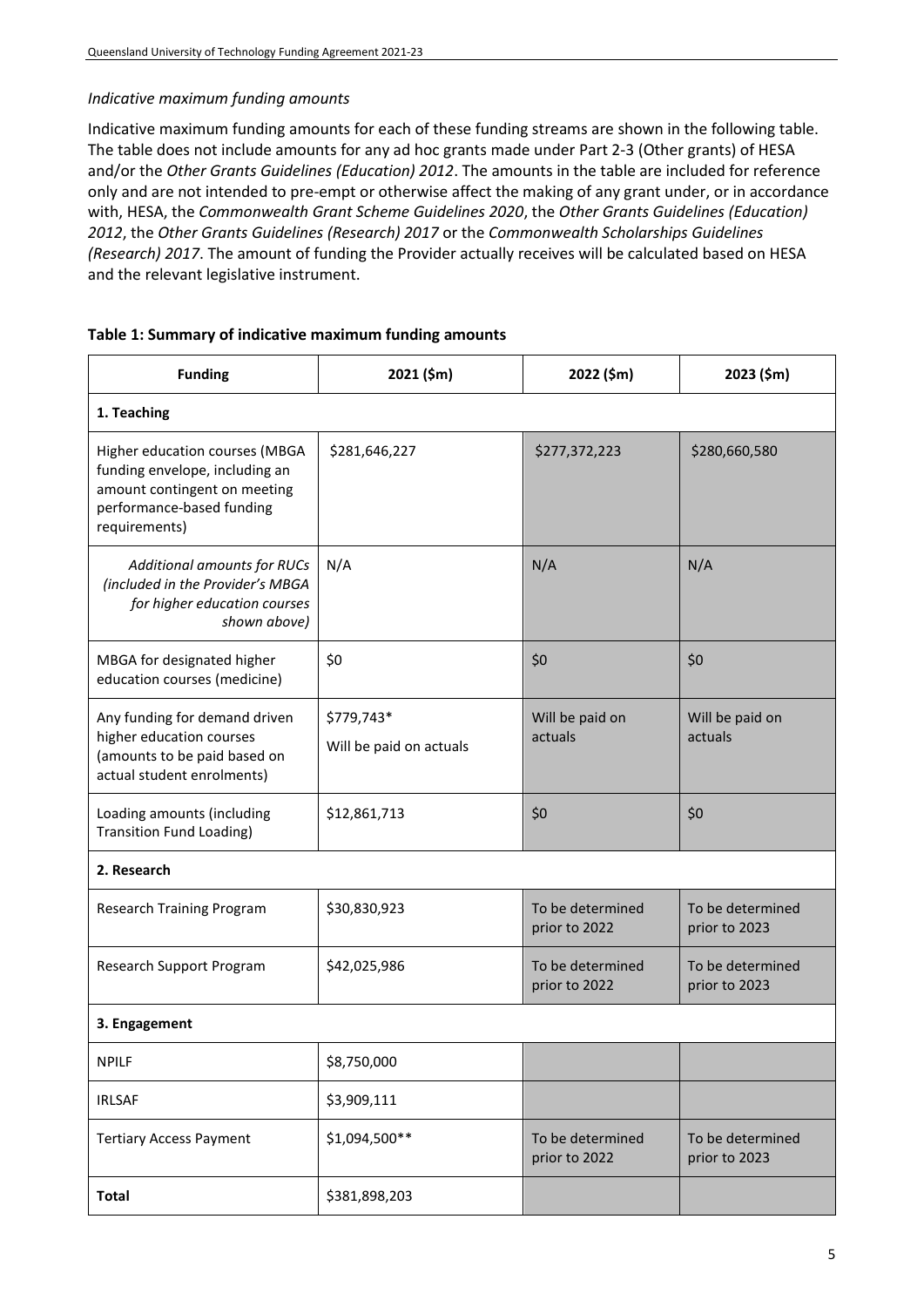#### *Indicative maximum funding amounts*

Indicative maximum funding amounts for each of these funding streams are shown in the following table. The table does not include amounts for any ad hoc grants made under Part 2-3 (Other grants) of HESA and/or the *Other Grants Guidelines (Education) 2012*. The amounts in the table are included for reference only and are not intended to pre-empt or otherwise affect the making of any grant under, or in accordance with, HESA, the *Commonwealth Grant Scheme Guidelines 2020*, the *Other Grants Guidelines (Education) 2012*, the *Other Grants Guidelines (Research) 2017* or the *Commonwealth Scholarships Guidelines (Research) 2017*. The amount of funding the Provider actually receives will be calculated based on HESA and the relevant legislative instrument.

| <b>Funding</b>                                                                                                                                 | 2021 (\$m)                            | 2022 (\$m)                        | 2023 (\$m)                        |  |  |  |
|------------------------------------------------------------------------------------------------------------------------------------------------|---------------------------------------|-----------------------------------|-----------------------------------|--|--|--|
| 1. Teaching                                                                                                                                    |                                       |                                   |                                   |  |  |  |
| Higher education courses (MBGA<br>funding envelope, including an<br>amount contingent on meeting<br>performance-based funding<br>requirements) | \$281,646,227                         | \$277,372,223                     | \$280,660,580                     |  |  |  |
| <b>Additional amounts for RUCs</b><br>(included in the Provider's MBGA<br>for higher education courses<br>shown above)                         | N/A                                   | N/A                               | N/A                               |  |  |  |
| MBGA for designated higher<br>education courses (medicine)                                                                                     | \$0                                   | \$0                               | \$0                               |  |  |  |
| Any funding for demand driven<br>higher education courses<br>(amounts to be paid based on<br>actual student enrolments)                        | \$779,743*<br>Will be paid on actuals | Will be paid on<br>actuals        | Will be paid on<br>actuals        |  |  |  |
| Loading amounts (including<br><b>Transition Fund Loading)</b>                                                                                  | \$12,861,713                          | \$0                               | \$0                               |  |  |  |
| 2. Research                                                                                                                                    |                                       |                                   |                                   |  |  |  |
| Research Training Program                                                                                                                      | \$30,830,923                          | To be determined<br>prior to 2022 | To be determined<br>prior to 2023 |  |  |  |
| Research Support Program                                                                                                                       | \$42,025,986                          | To be determined<br>prior to 2022 | To be determined<br>prior to 2023 |  |  |  |
| 3. Engagement                                                                                                                                  |                                       |                                   |                                   |  |  |  |
| <b>NPILF</b>                                                                                                                                   | \$8,750,000                           |                                   |                                   |  |  |  |
| <b>IRLSAF</b>                                                                                                                                  | \$3,909,111                           |                                   |                                   |  |  |  |
| <b>Tertiary Access Payment</b>                                                                                                                 | \$1,094,500**                         | To be determined<br>prior to 2022 | To be determined<br>prior to 2023 |  |  |  |
| <b>Total</b>                                                                                                                                   | \$381,898,203                         |                                   |                                   |  |  |  |

#### **Table 1: Summary of indicative maximum funding amounts**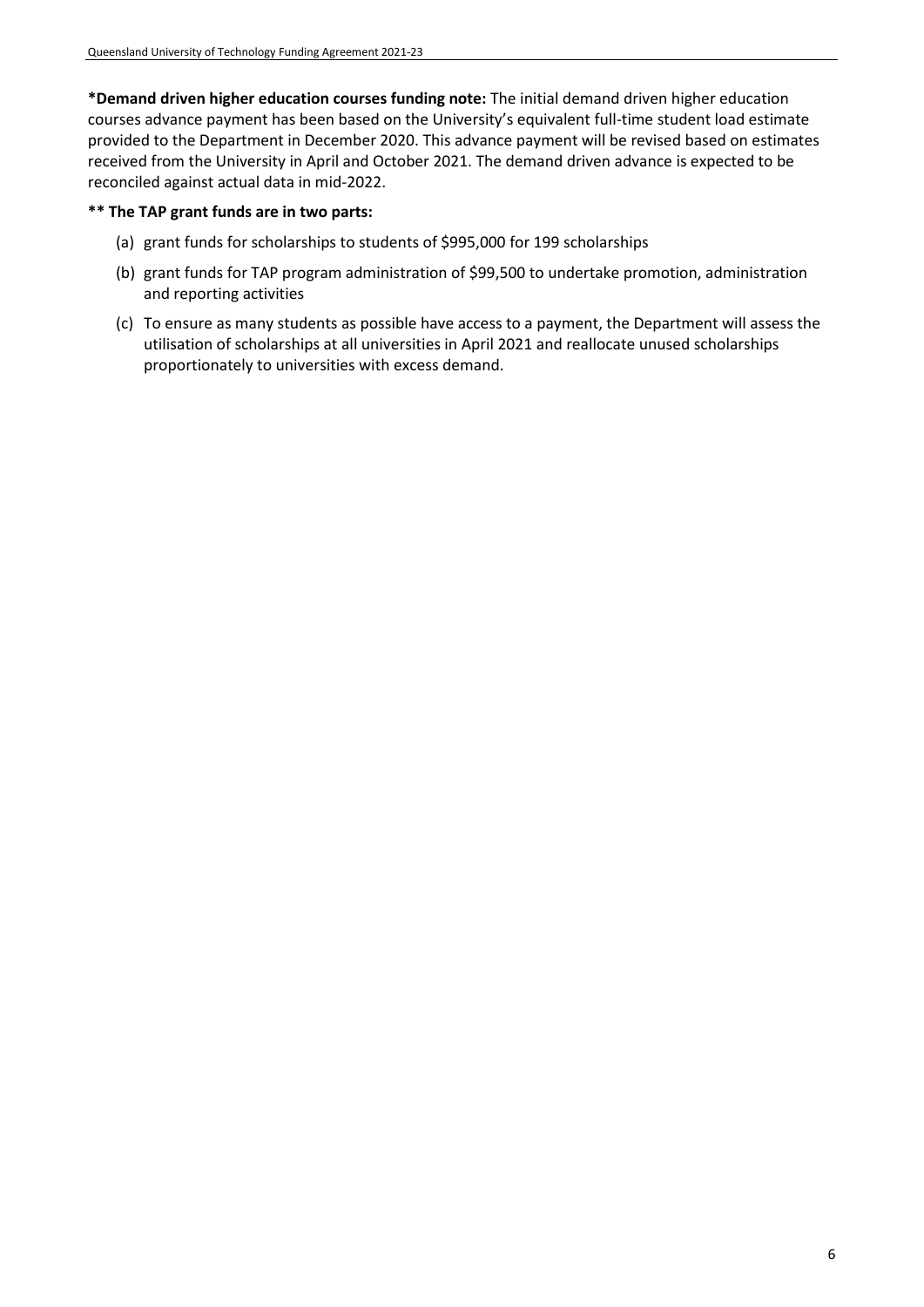**\*Demand driven higher education courses funding note:** The initial demand driven higher education courses advance payment has been based on the University's equivalent full-time student load estimate provided to the Department in December 2020. This advance payment will be revised based on estimates received from the University in April and October 2021. The demand driven advance is expected to be reconciled against actual data in mid-2022.

#### **\*\* The TAP grant funds are in two parts:**

- (a) grant funds for scholarships to students of \$995,000 for 199 scholarships
- (b) grant funds for TAP program administration of \$99,500 to undertake promotion, administration and reporting activities
- (c) To ensure as many students as possible have access to a payment, the Department will assess the utilisation of scholarships at all universities in April 2021 and reallocate unused scholarships proportionately to universities with excess demand.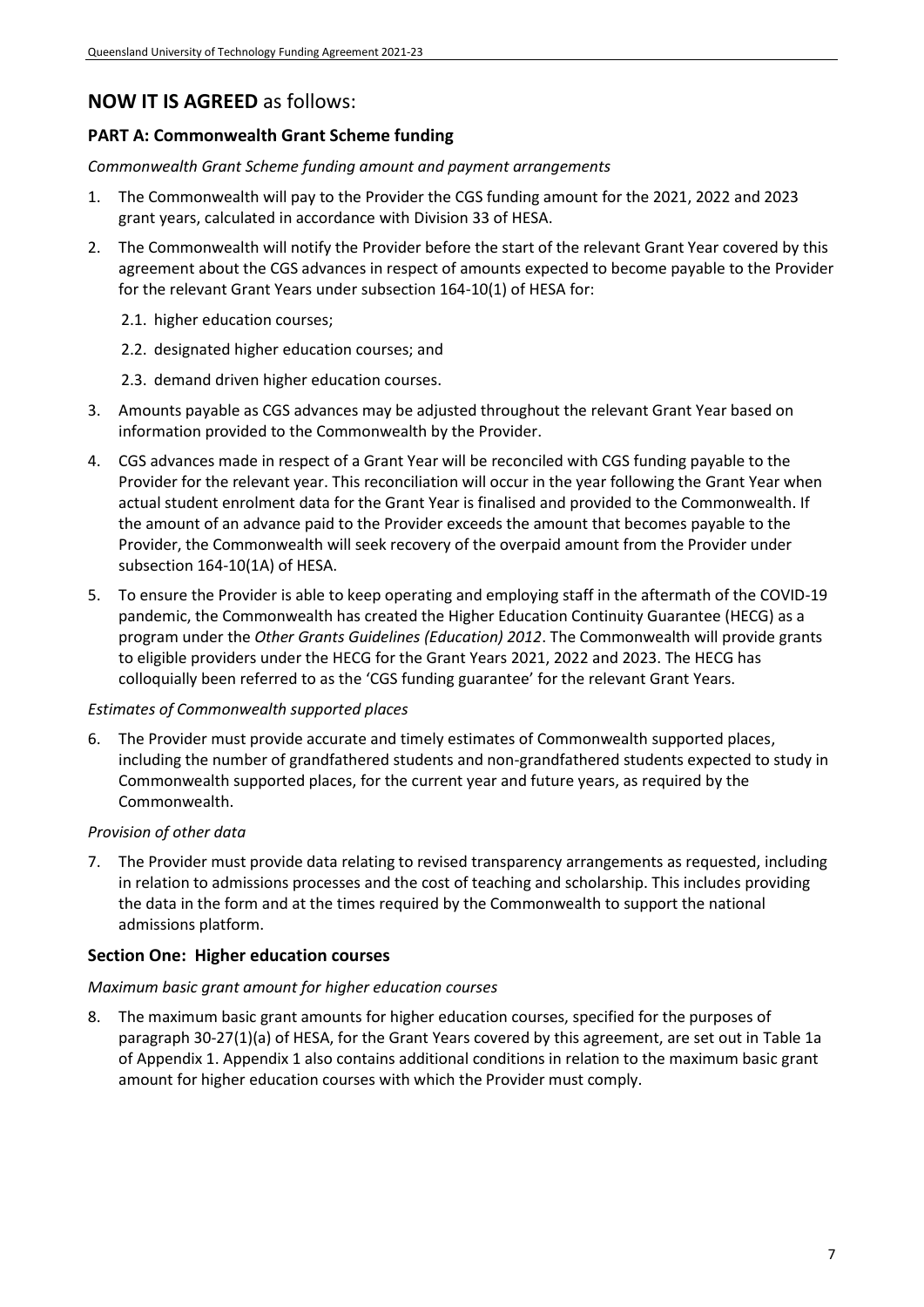# **NOW IT IS AGREED** as follows:

#### **PART A: Commonwealth Grant Scheme funding**

*Commonwealth Grant Scheme funding amount and payment arrangements*

- 1. The Commonwealth will pay to the Provider the CGS funding amount for the 2021, 2022 and 2023 grant years, calculated in accordance with Division 33 of HESA.
- 2. The Commonwealth will notify the Provider before the start of the relevant Grant Year covered by this agreement about the CGS advances in respect of amounts expected to become payable to the Provider for the relevant Grant Years under subsection 164-10(1) of HESA for:
	- 2.1. higher education courses;
	- 2.2. designated higher education courses; and
	- 2.3. demand driven higher education courses.
- 3. Amounts payable as CGS advances may be adjusted throughout the relevant Grant Year based on information provided to the Commonwealth by the Provider.
- 4. CGS advances made in respect of a Grant Year will be reconciled with CGS funding payable to the Provider for the relevant year. This reconciliation will occur in the year following the Grant Year when actual student enrolment data for the Grant Year is finalised and provided to the Commonwealth. If the amount of an advance paid to the Provider exceeds the amount that becomes payable to the Provider, the Commonwealth will seek recovery of the overpaid amount from the Provider under subsection 164-10(1A) of HESA.
- 5. To ensure the Provider is able to keep operating and employing staff in the aftermath of the COVID-19 pandemic, the Commonwealth has created the Higher Education Continuity Guarantee (HECG) as a program under the *Other Grants Guidelines (Education) 2012*. The Commonwealth will provide grants to eligible providers under the HECG for the Grant Years 2021, 2022 and 2023. The HECG has colloquially been referred to as the 'CGS funding guarantee' for the relevant Grant Years.

#### *Estimates of Commonwealth supported places*

6. The Provider must provide accurate and timely estimates of Commonwealth supported places, including the number of grandfathered students and non-grandfathered students expected to study in Commonwealth supported places, for the current year and future years, as required by the Commonwealth.

#### *Provision of other data*

7. The Provider must provide data relating to revised transparency arrangements as requested, including in relation to admissions processes and the cost of teaching and scholarship. This includes providing the data in the form and at the times required by the Commonwealth to support the national admissions platform.

#### **Section One: Higher education courses**

#### *Maximum basic grant amount for higher education courses*

8. The maximum basic grant amounts for higher education courses, specified for the purposes of paragraph 30-27(1)(a) of HESA, for the Grant Years covered by this agreement, are set out in Table 1a of Appendix 1. Appendix 1 also contains additional conditions in relation to the maximum basic grant amount for higher education courses with which the Provider must comply.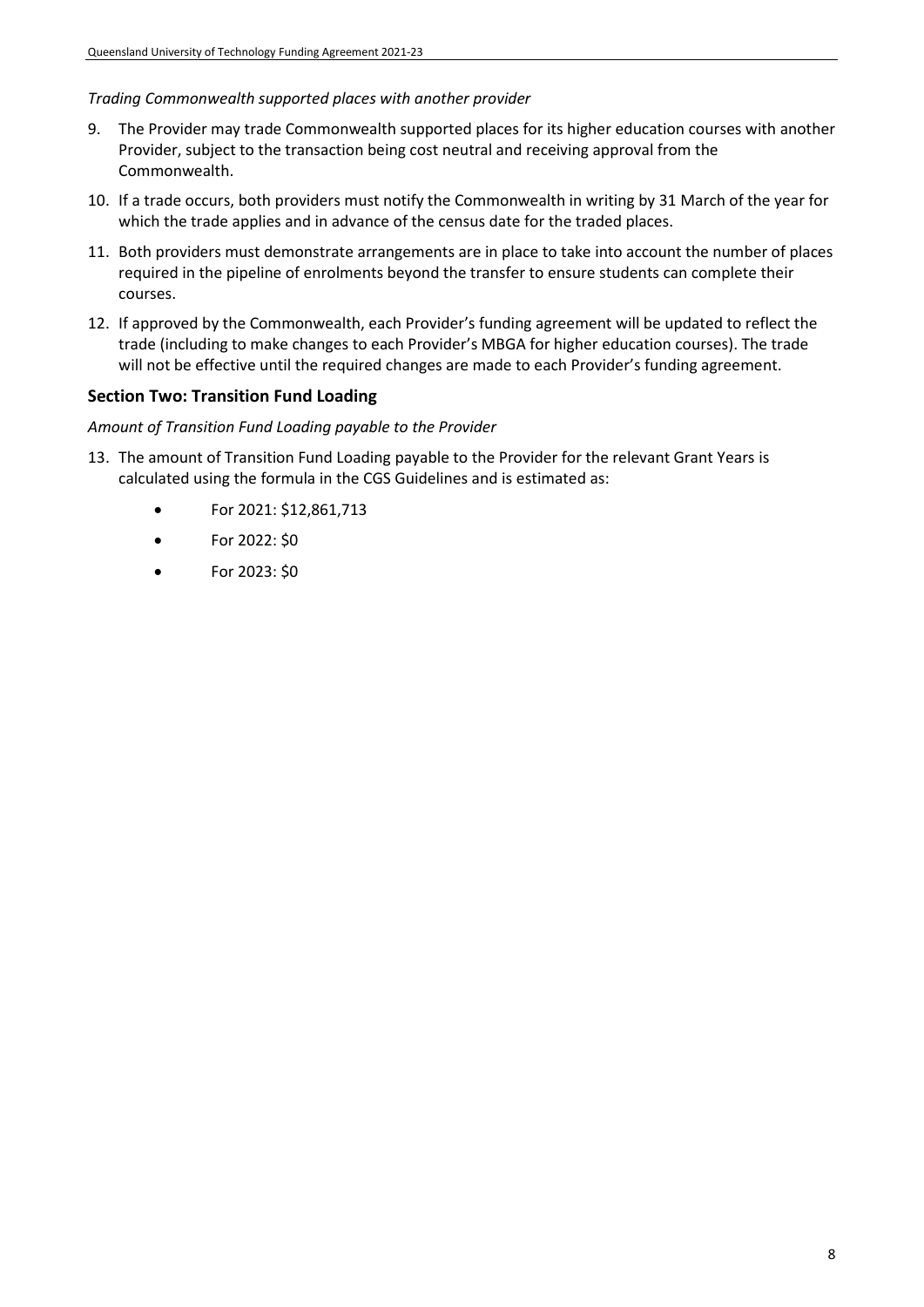#### *Trading Commonwealth supported places with another provider*

- 9. The Provider may trade Commonwealth supported places for its higher education courses with another Provider, subject to the transaction being cost neutral and receiving approval from the Commonwealth.
- 10. If a trade occurs, both providers must notify the Commonwealth in writing by 31 March of the year for which the trade applies and in advance of the census date for the traded places.
- 11. Both providers must demonstrate arrangements are in place to take into account the number of places required in the pipeline of enrolments beyond the transfer to ensure students can complete their courses.
- 12. If approved by the Commonwealth, each Provider's funding agreement will be updated to reflect the trade (including to make changes to each Provider's MBGA for higher education courses). The trade will not be effective until the required changes are made to each Provider's funding agreement.

#### **Section Two: Transition Fund Loading**

#### *Amount of Transition Fund Loading payable to the Provider*

- 13. The amount of Transition Fund Loading payable to the Provider for the relevant Grant Years is calculated using the formula in the CGS Guidelines and is estimated as:
	- For 2021: \$12,861,713
	- For 2022: \$0
	- For 2023: \$0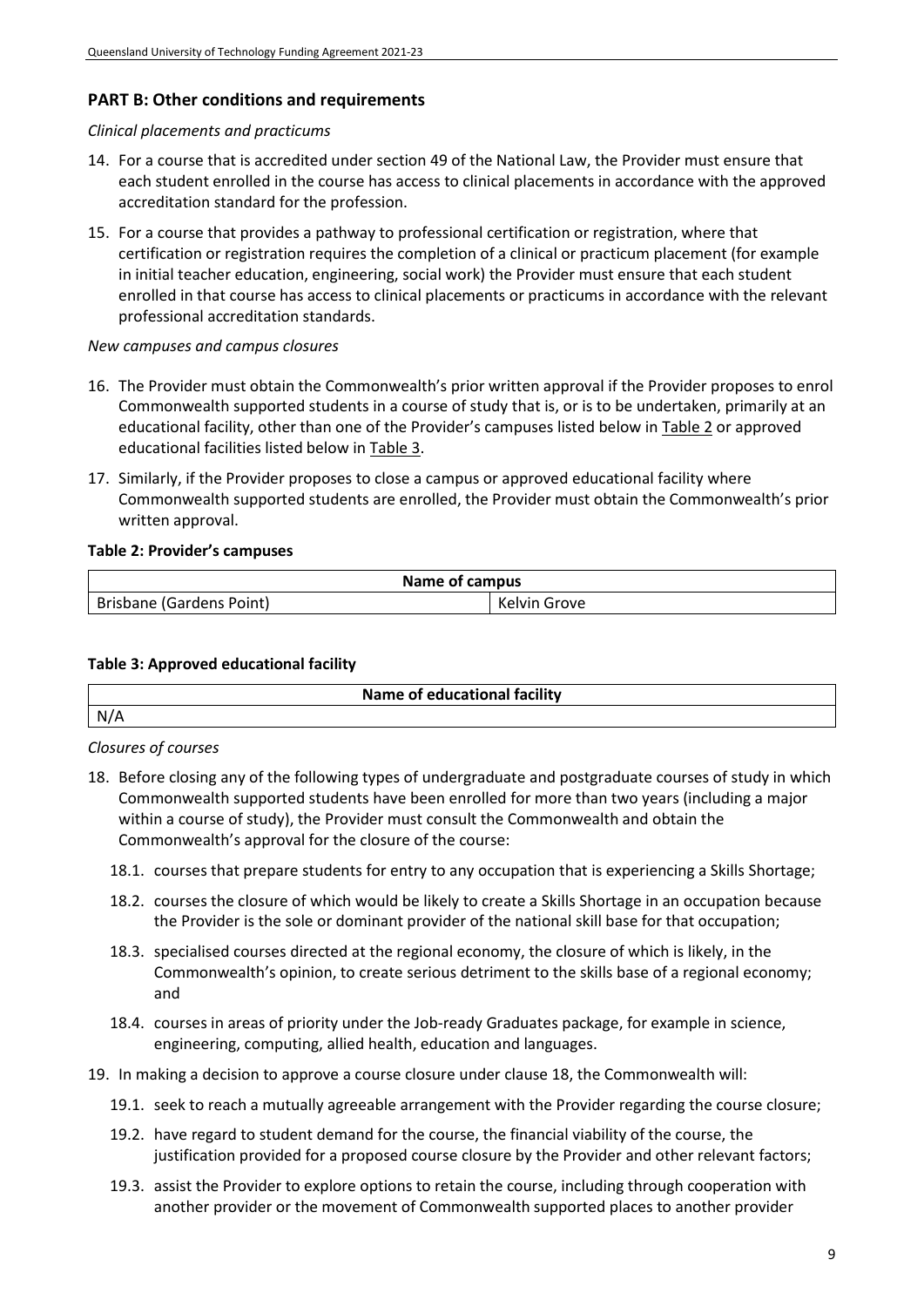#### **PART B: Other conditions and requirements**

#### *Clinical placements and practicums*

- 14. For a course that is accredited under section 49 of the National Law, the Provider must ensure that each student enrolled in the course has access to clinical placements in accordance with the approved accreditation standard for the profession.
- 15. For a course that provides a pathway to professional certification or registration, where that certification or registration requires the completion of a clinical or practicum placement (for example in initial teacher education, engineering, social work) the Provider must ensure that each student enrolled in that course has access to clinical placements or practicums in accordance with the relevant professional accreditation standards.

#### *New campuses and campus closures*

- 16. The Provider must obtain the Commonwealth's prior written approval if the Provider proposes to enrol Commonwealth supported students in a course of study that is, or is to be undertaken, primarily at an educational facility, other than one of the Provider's campuses listed below in Table 2 or approved educational facilities listed below in Table 3.
- 17. Similarly, if the Provider proposes to close a campus or approved educational facility where Commonwealth supported students are enrolled, the Provider must obtain the Commonwealth's prior written approval.

#### **Table 2: Provider's campuses**

| Name of campus           |              |  |  |
|--------------------------|--------------|--|--|
| Brisbane (Gardens Point) | Kelvin Grove |  |  |

#### **Table 3: Approved educational facility**

| Name of educational facility |  |
|------------------------------|--|
| <b>Ν/Δ</b>                   |  |

#### *Closures of courses*

- 18. Before closing any of the following types of undergraduate and postgraduate courses of study in which Commonwealth supported students have been enrolled for more than two years (including a major within a course of study), the Provider must consult the Commonwealth and obtain the Commonwealth's approval for the closure of the course:
	- 18.1. courses that prepare students for entry to any occupation that is experiencing a Skills Shortage;
	- 18.2. courses the closure of which would be likely to create a Skills Shortage in an occupation because the Provider is the sole or dominant provider of the national skill base for that occupation;
	- 18.3. specialised courses directed at the regional economy, the closure of which is likely, in the Commonwealth's opinion, to create serious detriment to the skills base of a regional economy; and
	- 18.4. courses in areas of priority under the Job-ready Graduates package, for example in science, engineering, computing, allied health, education and languages.
- 19. In making a decision to approve a course closure under clause 18, the Commonwealth will:
	- 19.1. seek to reach a mutually agreeable arrangement with the Provider regarding the course closure;
	- 19.2. have regard to student demand for the course, the financial viability of the course, the justification provided for a proposed course closure by the Provider and other relevant factors;
	- 19.3. assist the Provider to explore options to retain the course, including through cooperation with another provider or the movement of Commonwealth supported places to another provider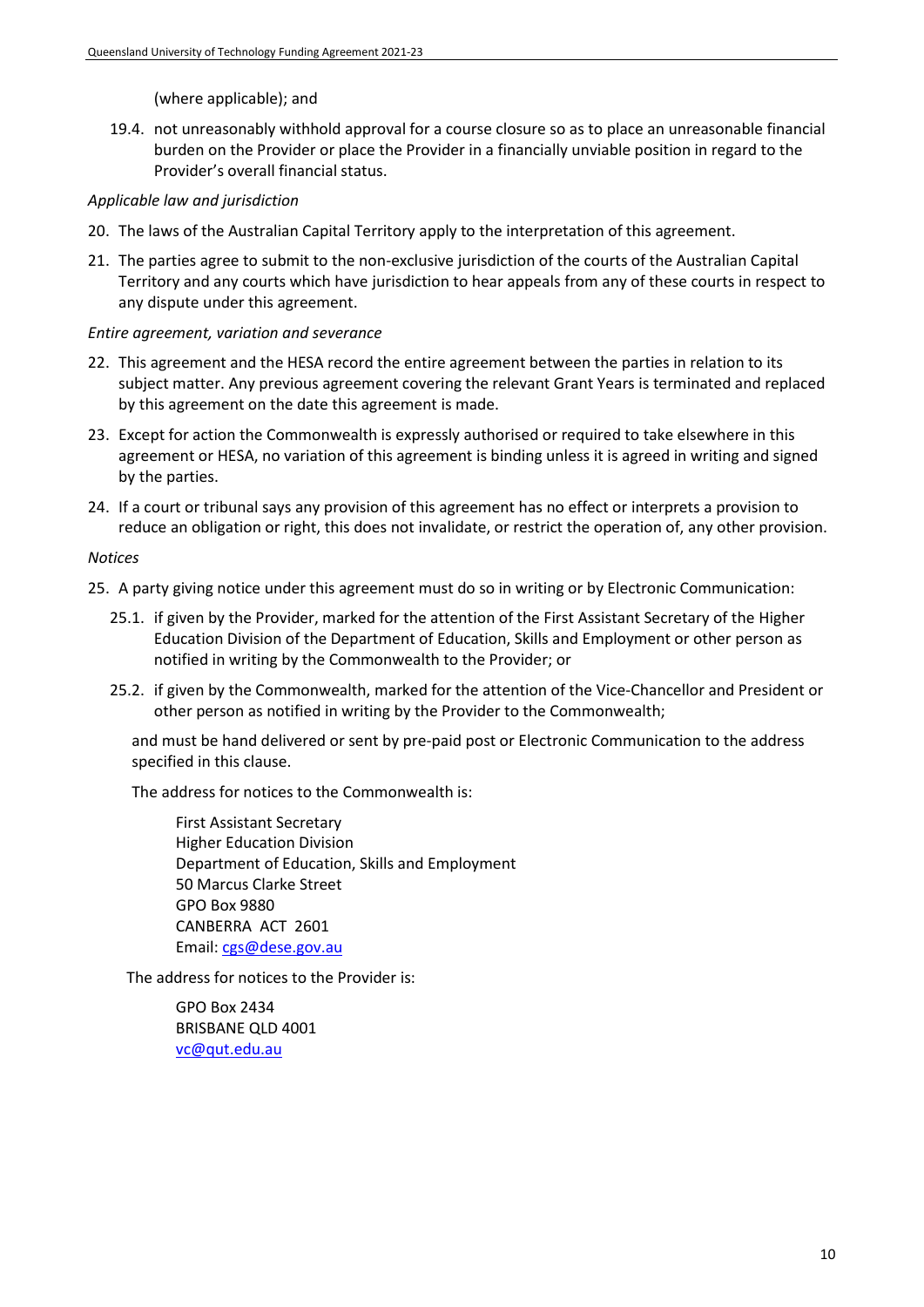(where applicable); and

19.4. not unreasonably withhold approval for a course closure so as to place an unreasonable financial burden on the Provider or place the Provider in a financially unviable position in regard to the Provider's overall financial status.

#### *Applicable law and jurisdiction*

- 20. The laws of the Australian Capital Territory apply to the interpretation of this agreement.
- 21. The parties agree to submit to the non-exclusive jurisdiction of the courts of the Australian Capital Territory and any courts which have jurisdiction to hear appeals from any of these courts in respect to any dispute under this agreement.

#### *Entire agreement, variation and severance*

- 22. This agreement and the HESA record the entire agreement between the parties in relation to its subject matter. Any previous agreement covering the relevant Grant Years is terminated and replaced by this agreement on the date this agreement is made.
- 23. Except for action the Commonwealth is expressly authorised or required to take elsewhere in this agreement or HESA, no variation of this agreement is binding unless it is agreed in writing and signed by the parties.
- 24. If a court or tribunal says any provision of this agreement has no effect or interprets a provision to reduce an obligation or right, this does not invalidate, or restrict the operation of, any other provision.

#### *Notices*

- 25. A party giving notice under this agreement must do so in writing or by Electronic Communication:
	- 25.1. if given by the Provider, marked for the attention of the First Assistant Secretary of the Higher Education Division of the Department of Education, Skills and Employment or other person as notified in writing by the Commonwealth to the Provider; or
	- 25.2. if given by the Commonwealth, marked for the attention of the Vice-Chancellor and President or other person as notified in writing by the Provider to the Commonwealth;

and must be hand delivered or sent by pre-paid post or Electronic Communication to the address specified in this clause.

The address for notices to the Commonwealth is:

First Assistant Secretary Higher Education Division Department of Education, Skills and Employment 50 Marcus Clarke Street GPO Box 9880 CANBERRA ACT 2601 Email: [cgs@dese.gov.au](mailto:cgs@dese.gov.au)

The address for notices to the Provider is:

GPO Box 2434 BRISBANE QLD 4001 [vc@qut.edu.au](mailto:vc@qut.edu.au)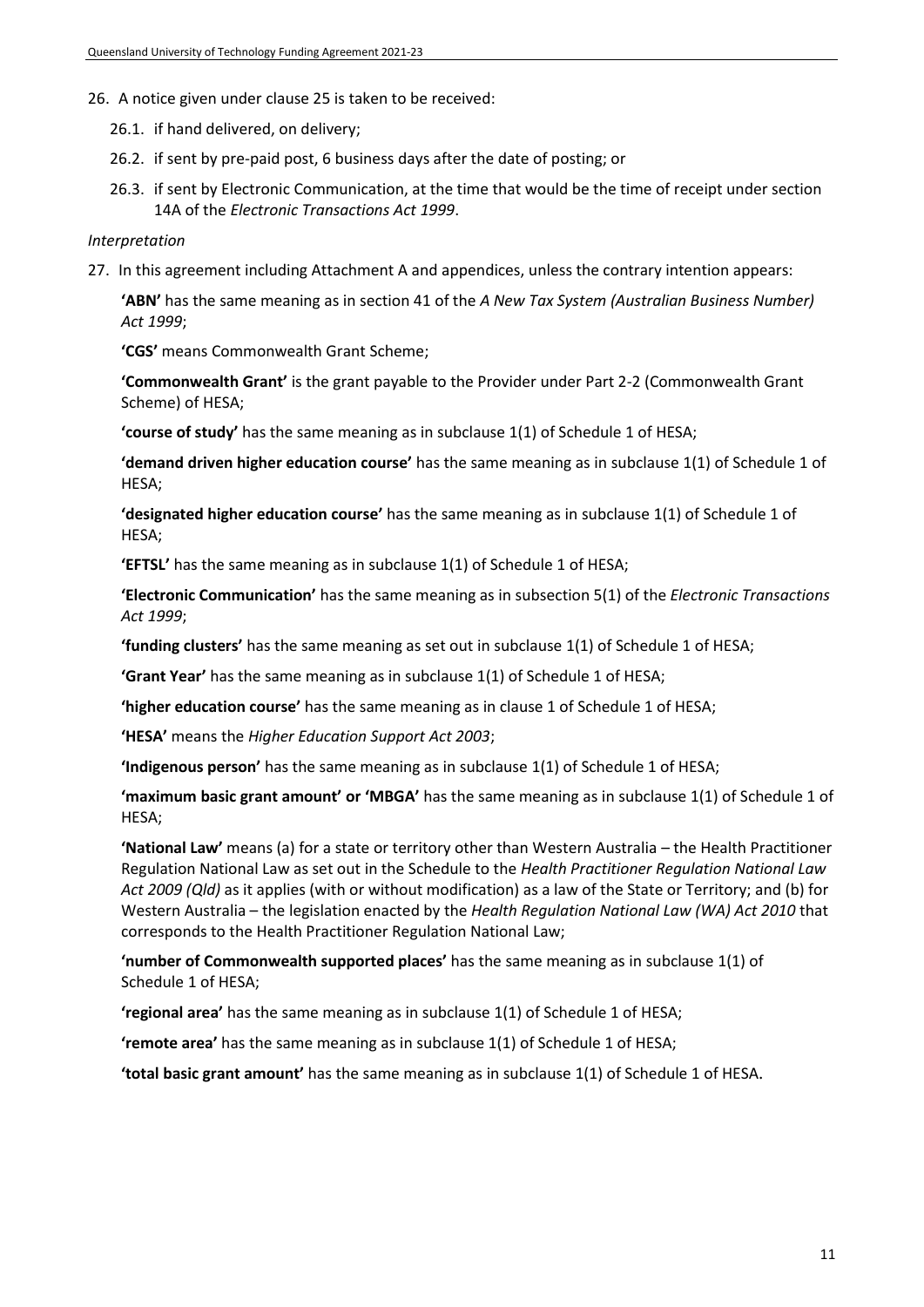- 26. A notice given under clause 25 is taken to be received:
	- 26.1. if hand delivered, on delivery;
	- 26.2. if sent by pre-paid post, 6 business days after the date of posting; or
	- 26.3. if sent by Electronic Communication, at the time that would be the time of receipt under section 14A of the *Electronic Transactions Act 1999*.

#### *Interpretation*

27. In this agreement including Attachment A and appendices, unless the contrary intention appears:

**'ABN'** has the same meaning as in section 41 of the *A New Tax System (Australian Business Number) Act 1999*;

**'CGS'** means Commonwealth Grant Scheme;

**'Commonwealth Grant'** is the grant payable to the Provider under Part 2-2 (Commonwealth Grant Scheme) of HESA;

**'course of study'** has the same meaning as in subclause 1(1) of Schedule 1 of HESA;

**'demand driven higher education course'** has the same meaning as in subclause 1(1) of Schedule 1 of HESA;

**'designated higher education course'** has the same meaning as in subclause 1(1) of Schedule 1 of HESA;

**'EFTSL'** has the same meaning as in subclause 1(1) of Schedule 1 of HESA;

**'Electronic Communication'** has the same meaning as in subsection 5(1) of the *Electronic Transactions Act 1999*;

**'funding clusters'** has the same meaning as set out in subclause 1(1) of Schedule 1 of HESA;

**'Grant Year'** has the same meaning as in subclause 1(1) of Schedule 1 of HESA;

**'higher education course'** has the same meaning as in clause 1 of Schedule 1 of HESA;

**'HESA'** means the *Higher Education Support Act 2003*;

**'Indigenous person'** has the same meaning as in subclause 1(1) of Schedule 1 of HESA;

**'maximum basic grant amount' or 'MBGA'** has the same meaning as in subclause 1(1) of Schedule 1 of HESA;

**'National Law'** means (a) for a state or territory other than Western Australia – the Health Practitioner Regulation National Law as set out in the Schedule to the *Health Practitioner Regulation National Law Act 2009 (Qld)* as it applies (with or without modification) as a law of the State or Territory; and (b) for Western Australia – the legislation enacted by the *Health Regulation National Law (WA) Act 2010* that corresponds to the Health Practitioner Regulation National Law;

**'number of Commonwealth supported places'** has the same meaning as in subclause 1(1) of Schedule 1 of HESA;

**'regional area'** has the same meaning as in subclause 1(1) of Schedule 1 of HESA;

**'remote area'** has the same meaning as in subclause 1(1) of Schedule 1 of HESA;

**'total basic grant amount'** has the same meaning as in subclause 1(1) of Schedule 1 of HESA.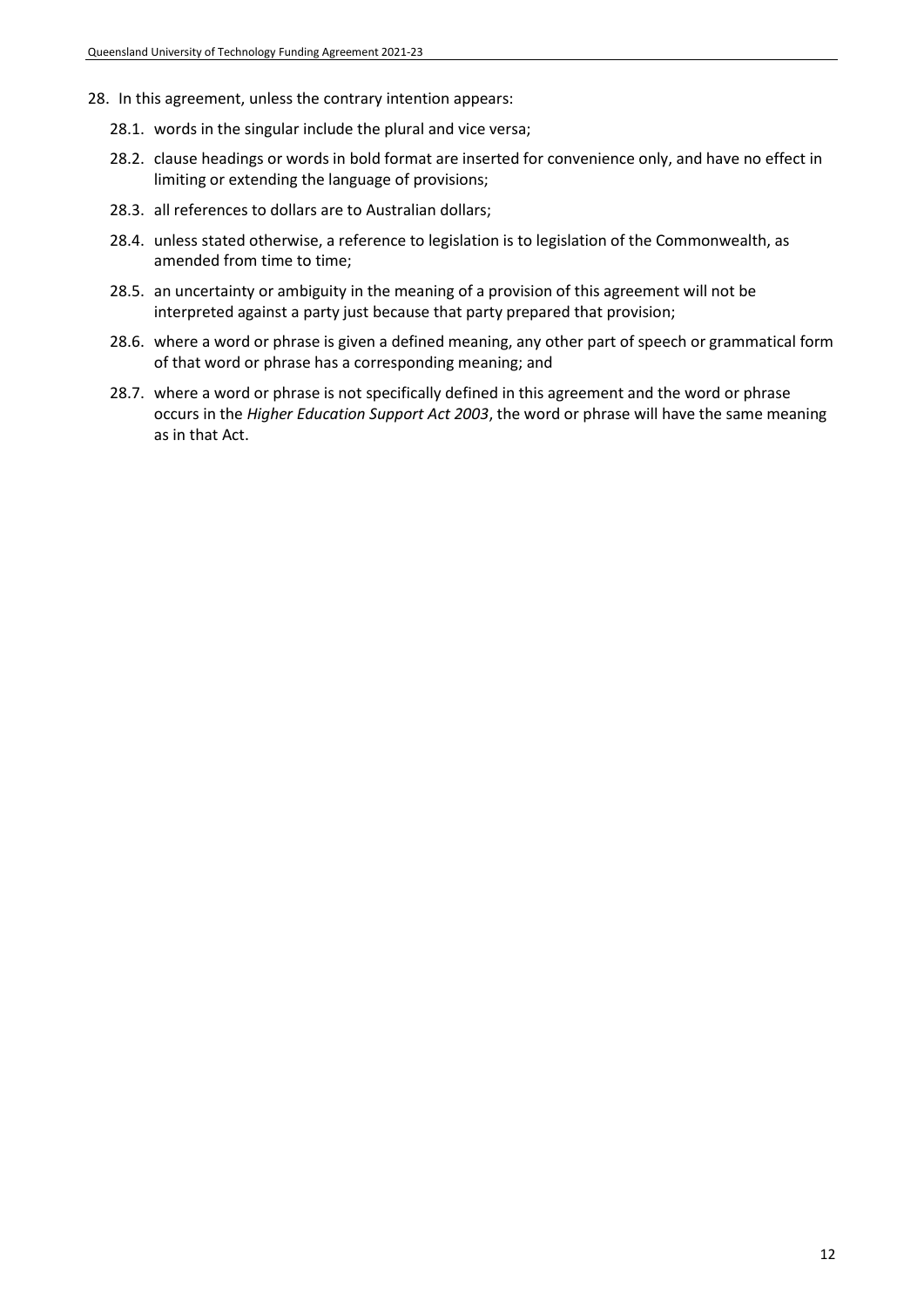- 28. In this agreement, unless the contrary intention appears:
	- 28.1. words in the singular include the plural and vice versa;
	- 28.2. clause headings or words in bold format are inserted for convenience only, and have no effect in limiting or extending the language of provisions;
	- 28.3. all references to dollars are to Australian dollars;
	- 28.4. unless stated otherwise, a reference to legislation is to legislation of the Commonwealth, as amended from time to time;
	- 28.5. an uncertainty or ambiguity in the meaning of a provision of this agreement will not be interpreted against a party just because that party prepared that provision;
	- 28.6. where a word or phrase is given a defined meaning, any other part of speech or grammatical form of that word or phrase has a corresponding meaning; and
	- 28.7. where a word or phrase is not specifically defined in this agreement and the word or phrase occurs in the *Higher Education Support Act 2003*, the word or phrase will have the same meaning as in that Act.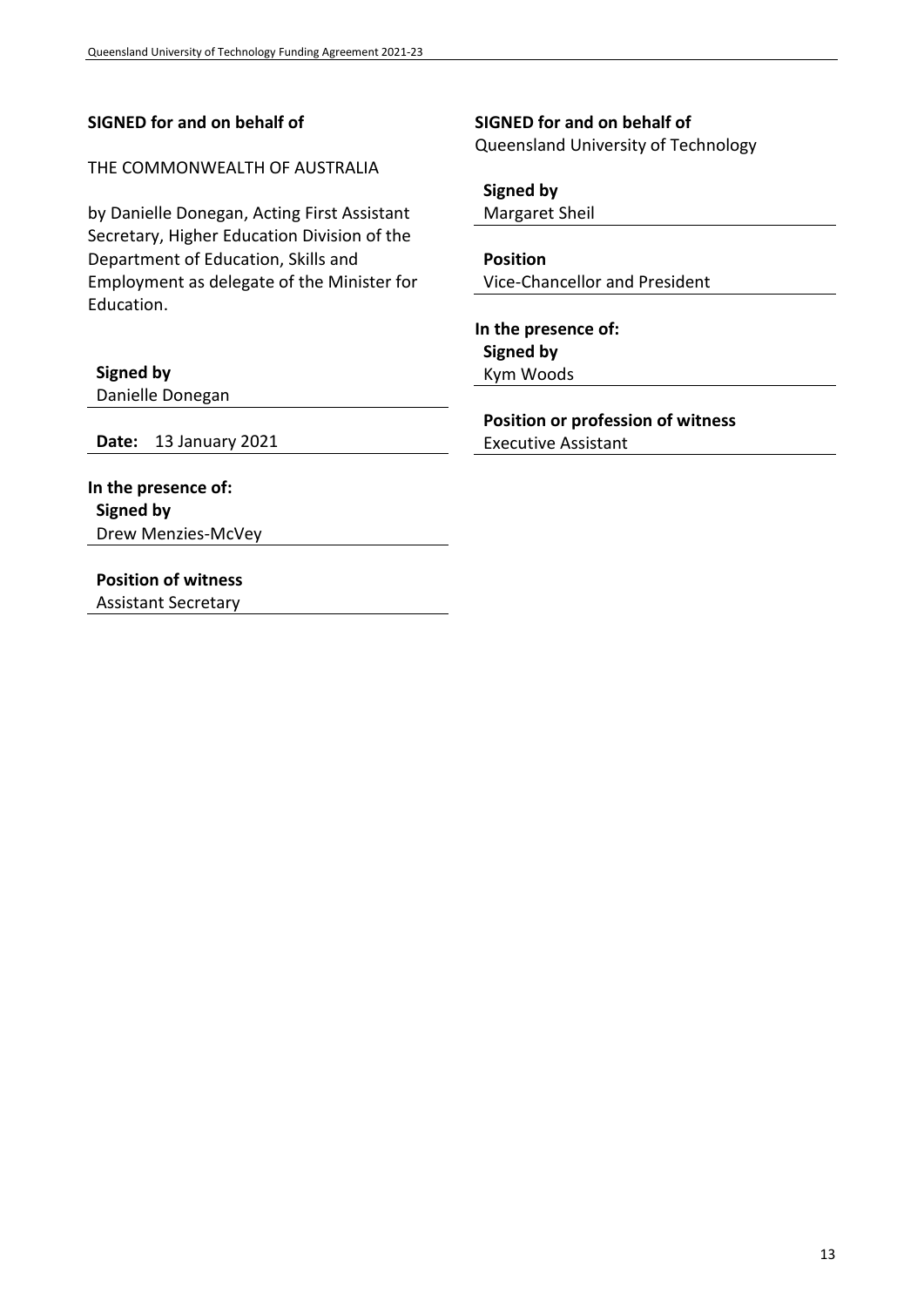#### **SIGNED for and on behalf of**

THE COMMONWEALTH OF AUSTRALIA

by Danielle Donegan, Acting First Assistant Secretary, Higher Education Division of the Department of Education, Skills and Employment as delegate of the Minister for Education.

#### **Signed by**

Danielle Donegan

**Date:** 13 January 2021

**In the presence of: Signed by**  Drew Menzies-McVey

**Position of witness** 

Assistant Secretary

**SIGNED for and on behalf of** Queensland University of Technology

**Signed by**  Margaret Sheil

**Position**  Vice-Chancellor and President

**In the presence of: Signed by**  Kym Woods

**Position or profession of witness**  Executive Assistant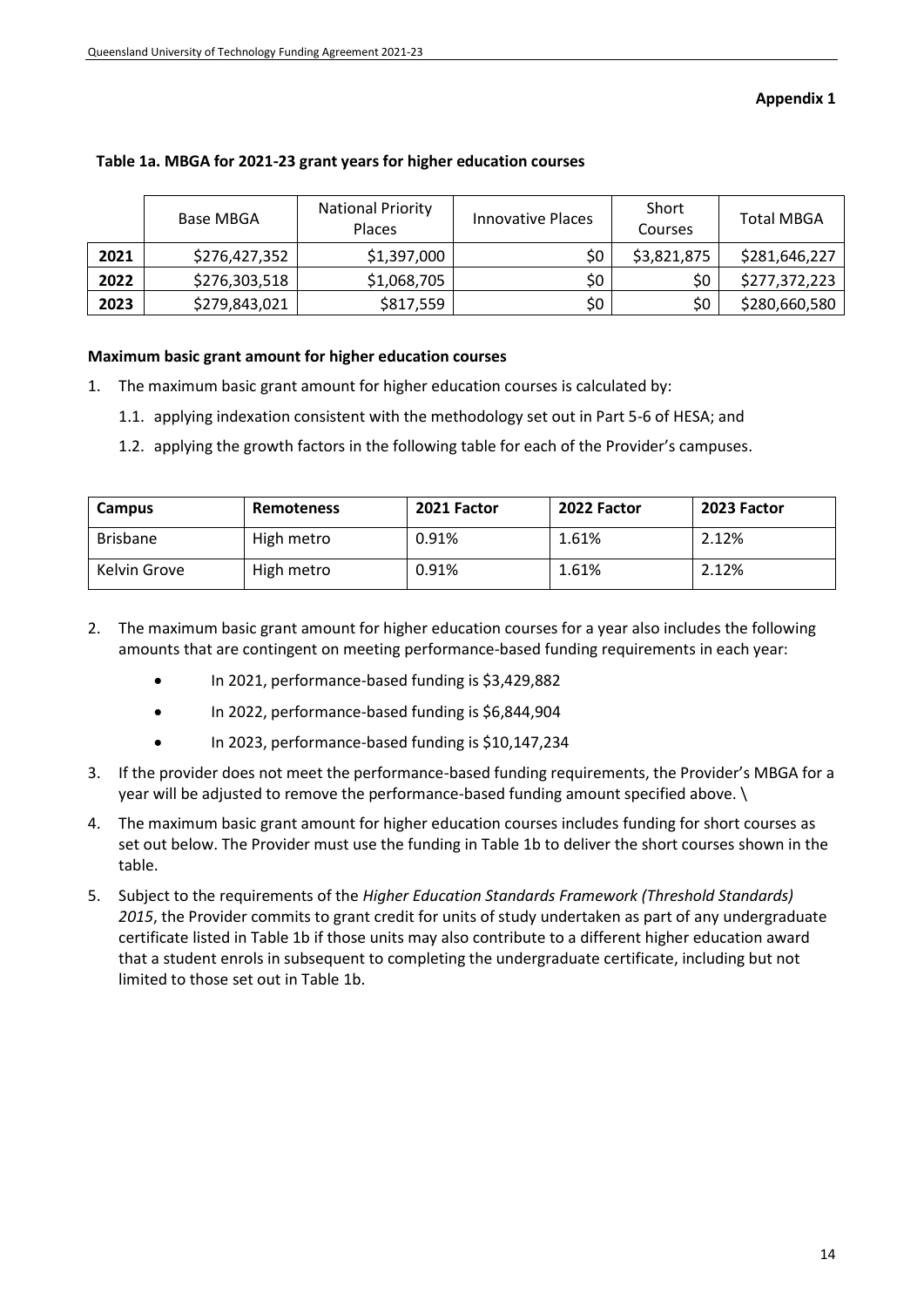#### **Appendix 1**

|      | Base MBGA     | <b>National Priority</b><br><b>Places</b> | Innovative Places | Short<br>Courses | <b>Total MBGA</b> |
|------|---------------|-------------------------------------------|-------------------|------------------|-------------------|
| 2021 | \$276,427,352 | \$1,397,000                               | \$0               | \$3,821,875      | \$281,646,227     |
| 2022 | \$276,303,518 | \$1,068,705                               | \$0               | \$0              | \$277,372,223     |
| 2023 | \$279,843,021 | \$817,559                                 | \$0               | \$0              | \$280,660,580     |

#### **Table 1a. MBGA for 2021-23 grant years for higher education courses**

#### **Maximum basic grant amount for higher education courses**

- 1. The maximum basic grant amount for higher education courses is calculated by:
	- 1.1. applying indexation consistent with the methodology set out in Part 5-6 of HESA; and
	- 1.2. applying the growth factors in the following table for each of the Provider's campuses.

| <b>Campus</b>   | <b>Remoteness</b> | 2021 Factor | 2022 Factor | 2023 Factor |
|-----------------|-------------------|-------------|-------------|-------------|
| <b>Brisbane</b> | High metro        | 0.91%       | 1.61%       | 2.12%       |
| Kelvin Grove    | High metro        | 0.91%       | 1.61%       | 2.12%       |

- 2. The maximum basic grant amount for higher education courses for a year also includes the following amounts that are contingent on meeting performance-based funding requirements in each year:
	- In 2021, performance-based funding is \$3,429,882
	- In 2022, performance-based funding is \$6,844,904
	- In 2023, performance-based funding is \$10,147,234
- 3. If the provider does not meet the performance-based funding requirements, the Provider's MBGA for a year will be adjusted to remove the performance-based funding amount specified above. \
- 4. The maximum basic grant amount for higher education courses includes funding for short courses as set out below. The Provider must use the funding in Table 1b to deliver the short courses shown in the table.
- 5. Subject to the requirements of the *Higher Education Standards Framework (Threshold Standards) 2015*, the Provider commits to grant credit for units of study undertaken as part of any undergraduate certificate listed in Table 1b if those units may also contribute to a different higher education award that a student enrols in subsequent to completing the undergraduate certificate, including but not limited to those set out in Table 1b.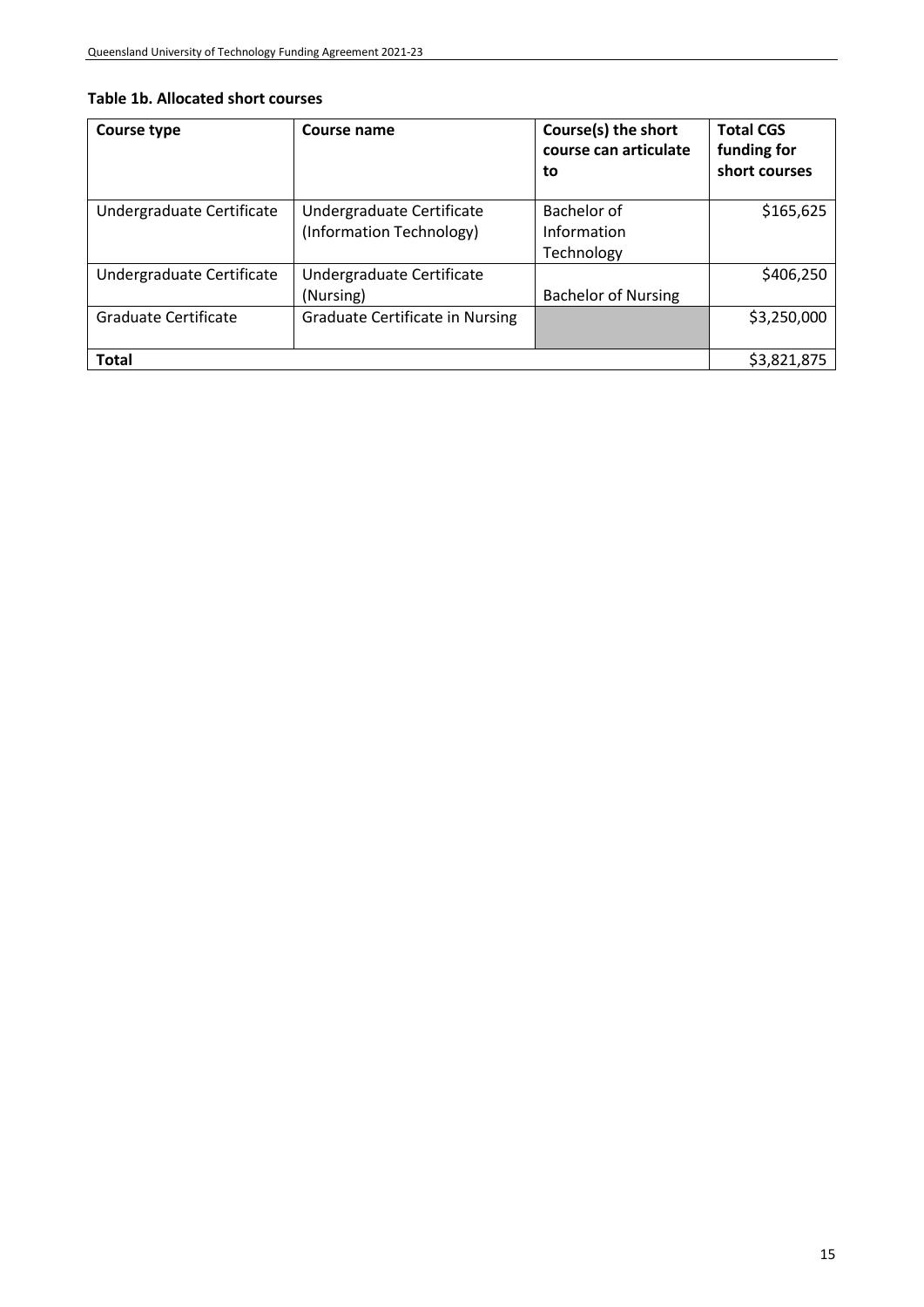|  |  |  |  | <b>Table 1b. Allocated short courses</b> |
|--|--|--|--|------------------------------------------|
|--|--|--|--|------------------------------------------|

| Course type                 | Course name                                           | Course(s) the short<br>course can articulate<br>to | <b>Total CGS</b><br>funding for<br>short courses |
|-----------------------------|-------------------------------------------------------|----------------------------------------------------|--------------------------------------------------|
| Undergraduate Certificate   | Undergraduate Certificate<br>(Information Technology) | Bachelor of<br>Information<br>Technology           | \$165,625                                        |
| Undergraduate Certificate   | Undergraduate Certificate<br>(Nursing)                | <b>Bachelor of Nursing</b>                         | \$406,250                                        |
| <b>Graduate Certificate</b> | <b>Graduate Certificate in Nursing</b>                |                                                    | \$3,250,000                                      |
| <b>Total</b>                |                                                       |                                                    | \$3,821,875                                      |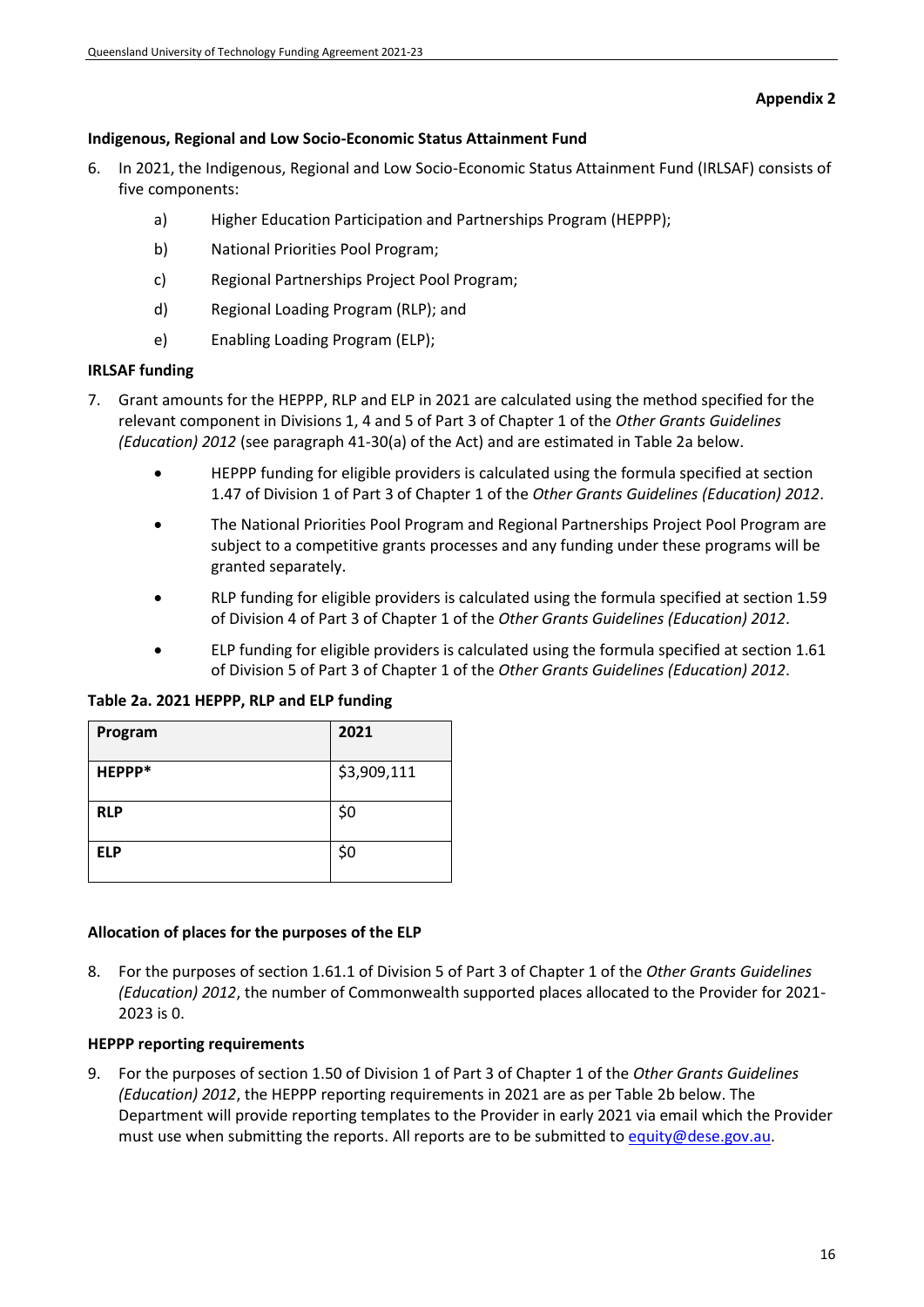#### **Appendix 2**

#### **Indigenous, Regional and Low Socio-Economic Status Attainment Fund**

- 6. In 2021, the Indigenous, Regional and Low Socio-Economic Status Attainment Fund (IRLSAF) consists of five components:
	- a) Higher Education Participation and Partnerships Program (HEPPP);
	- b) National Priorities Pool Program;
	- c) Regional Partnerships Project Pool Program;
	- d) Regional Loading Program (RLP); and
	- e) Enabling Loading Program (ELP);

#### **IRLSAF funding**

- 7. Grant amounts for the HEPPP, RLP and ELP in 2021 are calculated using the method specified for the relevant component in Divisions 1, 4 and 5 of Part 3 of Chapter 1 of the *Other Grants Guidelines (Education) 2012* (see paragraph 41-30(a) of the Act) and are estimated in Table 2a below.
	- HEPPP funding for eligible providers is calculated using the formula specified at section 1.47 of Division 1 of Part 3 of Chapter 1 of the *Other Grants Guidelines (Education) 2012*.
	- The National Priorities Pool Program and Regional Partnerships Project Pool Program are subject to a competitive grants processes and any funding under these programs will be granted separately.
	- RLP funding for eligible providers is calculated using the formula specified at section 1.59 of Division 4 of Part 3 of Chapter 1 of the *Other Grants Guidelines (Education) 2012*.
	- ELP funding for eligible providers is calculated using the formula specified at section 1.61 of Division 5 of Part 3 of Chapter 1 of the *Other Grants Guidelines (Education) 2012*.

**Table 2a. 2021 HEPPP, RLP and ELP funding**

| Program    | 2021        |
|------------|-------------|
| HEPPP*     | \$3,909,111 |
| <b>RLP</b> | \$0         |
| <b>ELP</b> | \$0         |

#### **Allocation of places for the purposes of the ELP**

8. For the purposes of section 1.61.1 of Division 5 of Part 3 of Chapter 1 of the *Other Grants Guidelines (Education) 2012*, the number of Commonwealth supported places allocated to the Provider for 2021- 2023 is 0.

#### **HEPPP reporting requirements**

9. For the purposes of section 1.50 of Division 1 of Part 3 of Chapter 1 of the *Other Grants Guidelines (Education) 2012*, the HEPPP reporting requirements in 2021 are as per Table 2b below. The Department will provide reporting templates to the Provider in early 2021 via email which the Provider must use when submitting the reports. All reports are to be submitted to [equity@dese.gov.au.](mailto:equity@dese.gov.au)